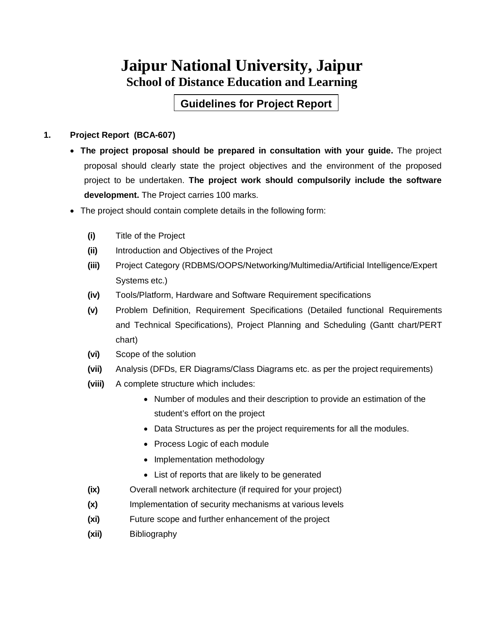## **Jaipur National University, Jaipur School of Distance Education and Learning**

**Guidelines for Project Report**

#### **1. Project Report (BCA-607)**

- **The project proposal should be prepared in consultation with your guide.** The project proposal should clearly state the project objectives and the environment of the proposed project to be undertaken. **The project work should compulsorily include the software development.** The Project carries 100 marks.
- The project should contain complete details in the following form:
	- **(i)** Title of the Project
	- **(ii)** Introduction and Objectives of the Project
	- **(iii)** Project Category (RDBMS/OOPS/Networking/Multimedia/Artificial Intelligence/Expert Systems etc.)
	- **(iv)** Tools/Platform, Hardware and Software Requirement specifications
	- **(v)** Problem Definition, Requirement Specifications (Detailed functional Requirements and Technical Specifications), Project Planning and Scheduling (Gantt chart/PERT chart)
	- **(vi)** Scope of the solution
	- **(vii)** Analysis (DFDs, ER Diagrams/Class Diagrams etc. as per the project requirements)
	- **(viii)** A complete structure which includes:
		- Number of modules and their description to provide an estimation of the student's effort on the project
		- Data Structures as per the project requirements for all the modules.
		- Process Logic of each module
		- Implementation methodology
		- List of reports that are likely to be generated
	- **(ix)** Overall network architecture (if required for your project)
	- **(x)** Implementation of security mechanisms at various levels
	- **(xi)** Future scope and further enhancement of the project
	- **(xii)** Bibliography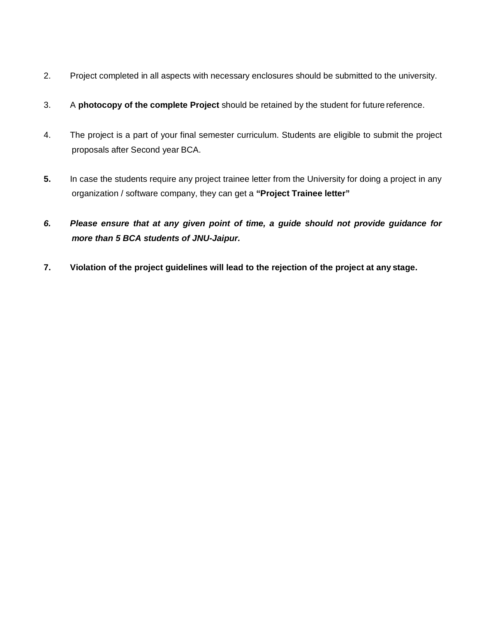- 2. Project completed in all aspects with necessary enclosures should be submitted to the university.
- 3. A **photocopy of the complete Project** should be retained by the student for future reference.
- 4. The project is a part of your final semester curriculum. Students are eligible to submit the project proposals after Second year BCA.
- **5.** In case the students require any project trainee letter from the University for doing a project in any organization / software company, they can get a **"Project Trainee letter"**
- *6. Please ensure that at any given point of time, a guide should not provide guidance for more than 5 BCA students of JNU-Jaipur.*
- **7. Violation of the project guidelines will lead to the rejection of the project at any stage.**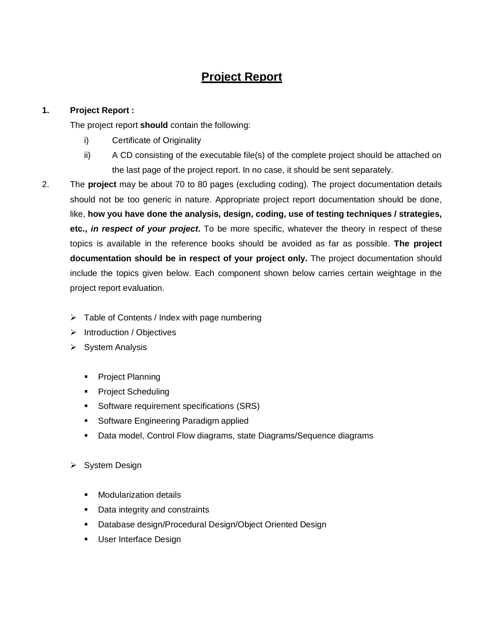## **Project Report**

#### **1. Project Report :**

The project report **should** contain the following:

- i) Certificate of Originality
- ii) A CD consisting of the executable file(s) of the complete project should be attached on the last page of the project report. In no case, it should be sent separately.
- 2. The **project** may be about 70 to 80 pages (excluding coding). The project documentation details should not be too generic in nature. Appropriate project report documentation should be done, like, **how you have done the analysis, design, coding, use of testing techniques / strategies, etc.,** *in respect of your project***.** To be more specific, whatever the theory in respect of these topics is available in the reference books should be avoided as far as possible. **The project documentation should be in respect of your project only.** The project documentation should include the topics given below. Each component shown below carries certain weightage in the project report evaluation.
	- $\triangleright$  Table of Contents / Index with page numbering
	- $\triangleright$  Introduction / Objectives
	- $\triangleright$  System Analysis
		- **Project Planning**
		- Project Scheduling
		- **Software requirement specifications (SRS)**
		- **Software Engineering Paradigm applied**
		- Data model, Control Flow diagrams, state Diagrams/Sequence diagrams
	- ▶ System Design
		- **Nodularization details**
		- **Data integrity and constraints**
		- **Database design/Procedural Design/Object Oriented Design**
		- **User Interface Design**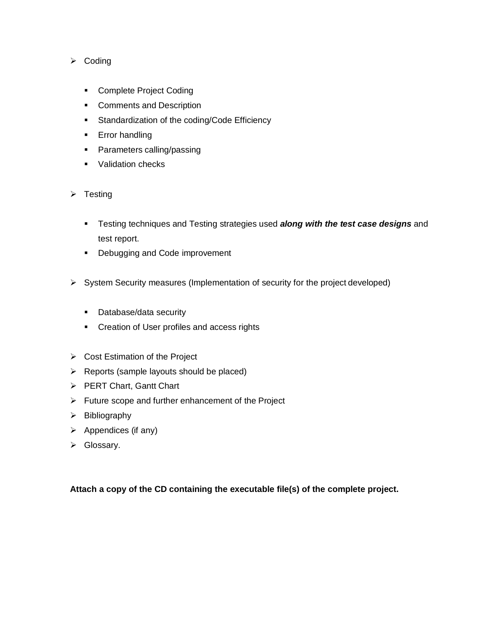#### $\triangleright$  Coding

- **Complete Project Coding**
- Comments and Description
- **Standardization of the coding/Code Efficiency**
- **Error handling**
- Parameters calling/passing
- **Validation checks**
- $\triangleright$  Testing
	- Testing techniques and Testing strategies used *along with the test case designs* and test report.
	- Debugging and Code improvement
- $\triangleright$  System Security measures (Implementation of security for the project developed)
	- Database/data security
	- Creation of User profiles and access rights
- $\triangleright$  Cost Estimation of the Project
- $\triangleright$  Reports (sample layouts should be placed)
- PERT Chart, Gantt Chart
- $\triangleright$  Future scope and further enhancement of the Project
- $\triangleright$  Bibliography
- $\triangleright$  Appendices (if any)
- Glossary.

#### **Attach a copy of the CD containing the executable file(s) of the complete project.**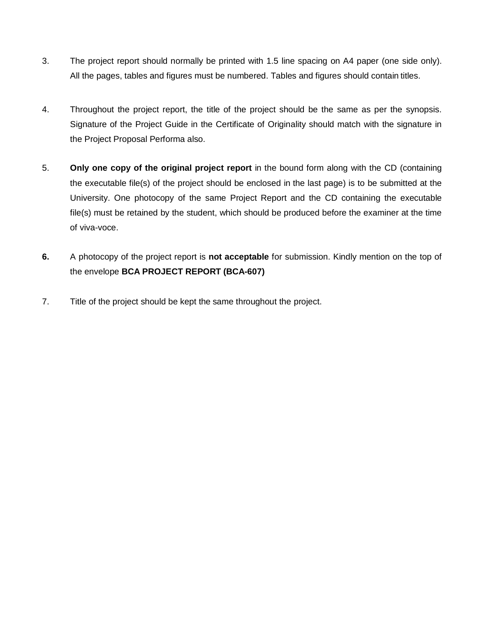- 3. The project report should normally be printed with 1.5 line spacing on A4 paper (one side only). All the pages, tables and figures must be numbered. Tables and figures should contain titles.
- 4. Throughout the project report, the title of the project should be the same as per the synopsis. Signature of the Project Guide in the Certificate of Originality should match with the signature in the Project Proposal Performa also.
- 5. **Only one copy of the original project report** in the bound form along with the CD (containing the executable file(s) of the project should be enclosed in the last page) is to be submitted at the University. One photocopy of the same Project Report and the CD containing the executable file(s) must be retained by the student, which should be produced before the examiner at the time of viva-voce.
- **6.** A photocopy of the project report is **not acceptable** for submission. Kindly mention on the top of the envelope **BCA PROJECT REPORT (BCA-607)**
- 7. Title of the project should be kept the same throughout the project.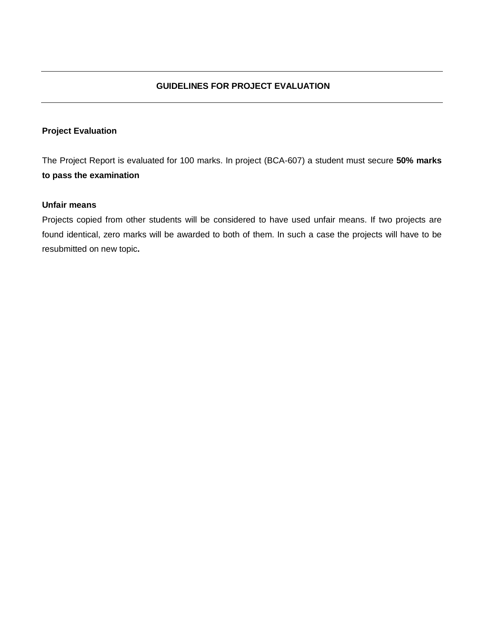#### **Project Evaluation**

The Project Report is evaluated for 100 marks. In project (BCA-607) a student must secure **50% marks to pass the examination**

#### **Unfair means**

Projects copied from other students will be considered to have used unfair means. If two projects are found identical, zero marks will be awarded to both of them. In such a case the projects will have to be resubmitted on new topic**.**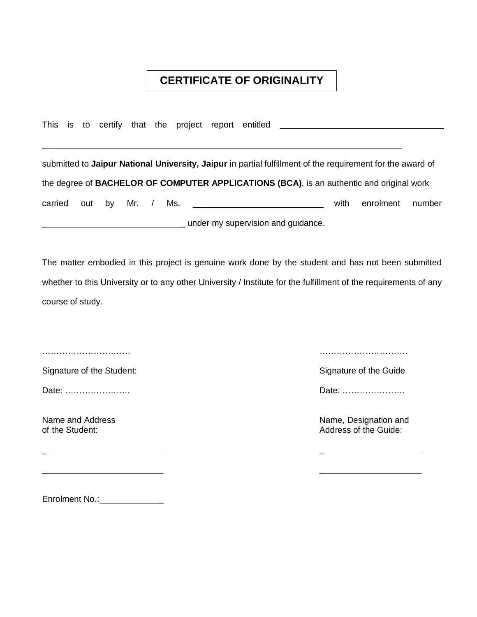### **CERTIFICATE OF ORIGINALITY**

This is to certify that the project report entitled

\_ \_

\_ \_

submitted to **Jaipur National University, Jaipur** in partial fulfillment of the requirement for the award of the degree of **BACHELOR OF COMPUTER APPLICATIONS (BCA)**, is an authentic and original work carried out by Mr. / Ms. \_\_\_\_\_\_\_\_\_\_\_\_\_\_\_\_\_\_\_\_\_\_\_\_\_\_\_ with enrolment number under my supervision and guidance.

The matter embodied in this project is genuine work done by the student and has not been submitted whether to this University or to any other University / Institute for the fulfillment of the requirements of any course of study.

 $\overline{a}$ 

Signature of the Student: Signature of the Guide Signature of the Guide Signature of the Guide

Date: ………………….. Date: ………………….

…………………………. ………………………….

Name and Address Name, Designation and<br>
Of the Student: Address of the Guide: Address of the Guide:

Enrolment No.: \_\_\_\_\_\_\_\_\_\_\_\_\_\_\_